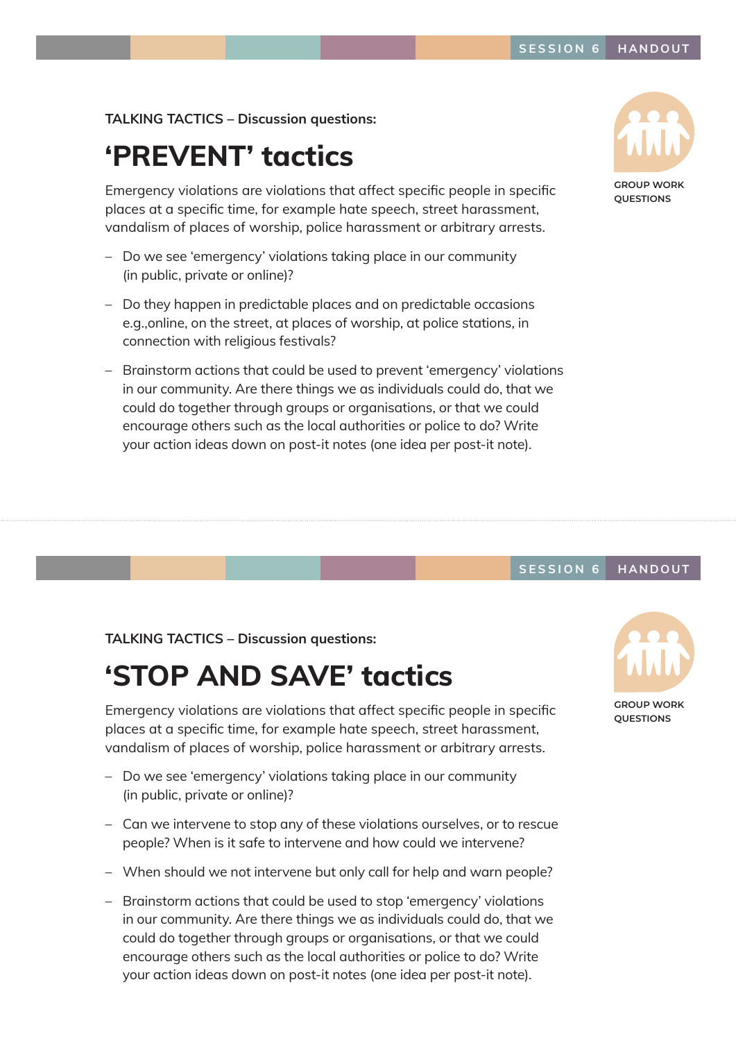### TALKING TACTICS – Discussion questions:

## 'PREVENT' tactics

Emergency violations are violations that affect specific people in specific places at a specific time, for example hate speech, street harassment, vandalism of places of worship, police harassment or arbitrary arrests.

- Do we see 'emergency' violations taking place in our community (in public, private or online)?
- Do they happen in predictable places and on predictable occasions e.g.,online, on the street, at places of worship, at police stations, in connection with religious festivals?
- Brainstorm actions that could be used to prevent 'emergency' violations in our community. Are there things we as individuals could do, that we could do together through groups or organisations, or that we could encourage others such as the local authorities or police to do? Write your action ideas down on post-it notes (one idea per post-it note).



**GROUP WORK QUESTIONS**

#### SESSION 6 HANDOUT

TALKING TACTICS – Discussion questions:

### 'STOP AND SAVE' tactics

Emergency violations are violations that affect specific people in specific places at a specific time, for example hate speech, street harassment, vandalism of places of worship, police harassment or arbitrary arrests.

- Do we see 'emergency' violations taking place in our community (in public, private or online)?
- Can we intervene to stop any of these violations ourselves, or to rescue people? When is it safe to intervene and how could we intervene?
- When should we not intervene but only call for help and warn people?
- Brainstorm actions that could be used to stop 'emergency' violations in our community. Are there things we as individuals could do, that we could do together through groups or organisations, or that we could encourage others such as the local authorities or police to do? Write your action ideas down on post-it notes (one idea per post-it note).



**GROUP WORK QUESTIONS**